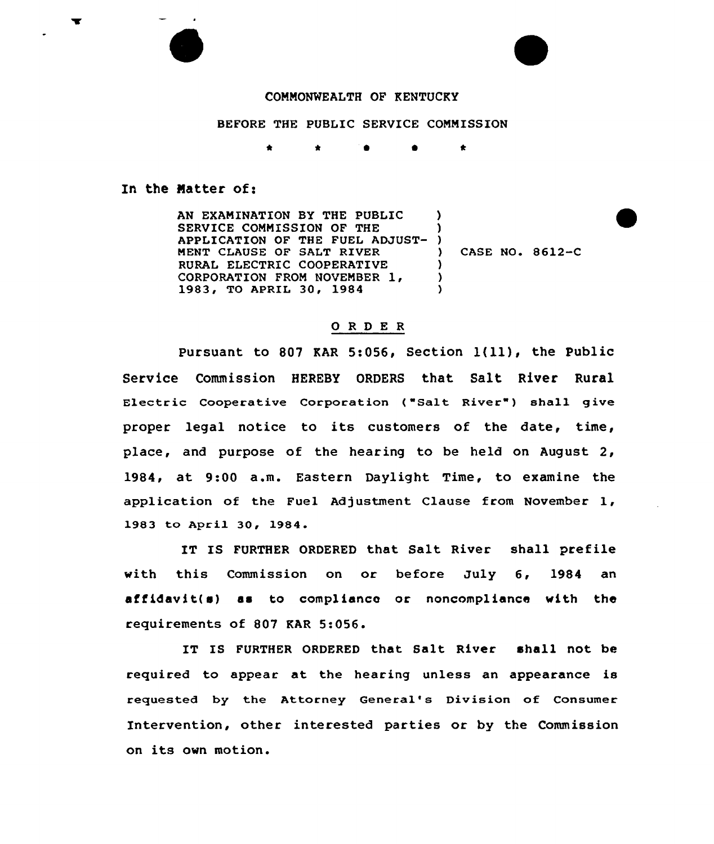## COMMONWEALTH OF KENTUCKY

BEFORE THE PUBLIC SERVICE COMMISSION

0 0  $\star$ 

## In the Natter of:

AN EXAMINATION BY THE PUBLIC SERVICE COMMISSION OF THE APPLICATION OF THE FUEL ADJUST-MENT CLAUSE OF SALT RIVER RURAL ELECTRIC COOPERATIVE CORPORATION FROM NOVEMBER 1, 1983, TO APRIL 30, 1984 ) )  $\left\{ \right\}$ ) CASE NO. 8612-C ) )  $\lambda$ 

## ORDER

Pursuant to <sup>807</sup> KAR 5:056, Section 1{ll), the Public Service Commission HEREBY ORDERS that Salt River Rural Electric Cooperative Corporation {"Salt River" ) shall give proper legal notice to its customers of the date, time, place, and purpose of the hearing to be held on August 2, 1984, at 9:00 a.m. Eastern Daylight Time, to examine the application of the Fuel Adjustment Clause from November 1, 1983 to April 30, 1984.

IT IS FURTHER ORDERED that Salt River shall prefile with this Commission on or before July 6, 1984 an affidavit(s) as to compliance or noncompliance with the requirements of 807 KAR 5:056.

IT IS FURTHER ORDERED that Salt River shall not be required to appear at the hearing unless an appearance is requested by the Attorney General's Division of Consumer Intervention, other interested parties or by the Commission on its own motion.